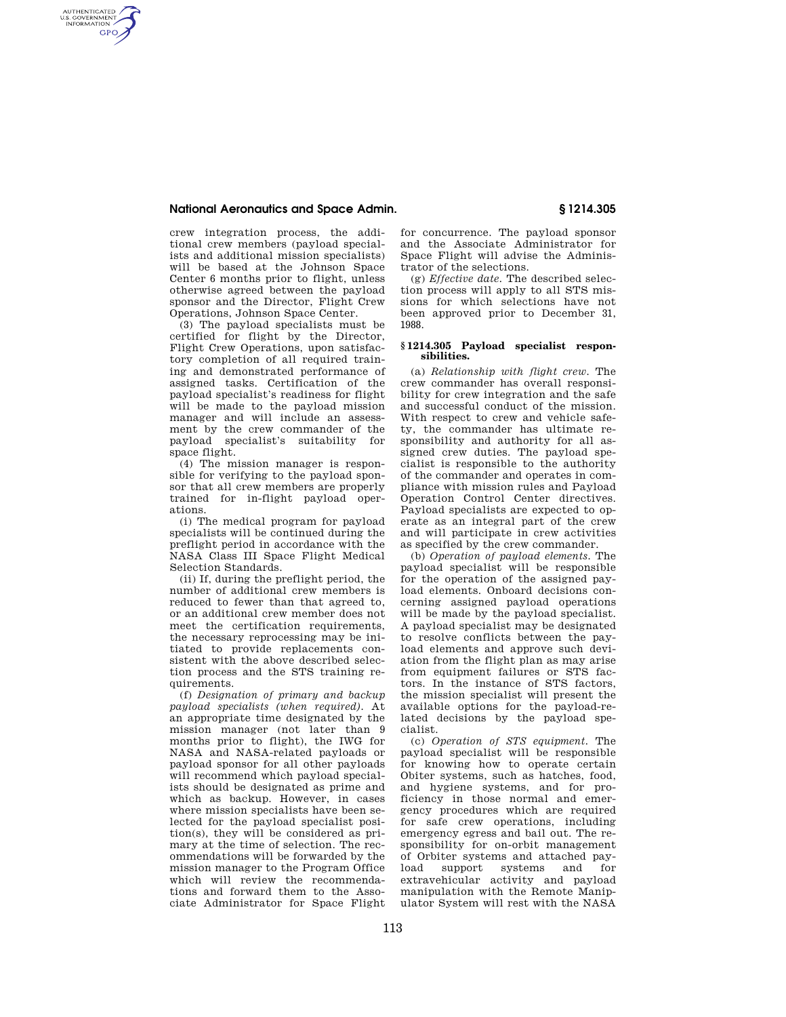### **National Aeronautics and Space Admin. § 1214.305**

AUTHENTICATED<br>U.S. GOVERNMENT<br>INFORMATION **GPO** 

> crew integration process, the additional crew members (payload specialists and additional mission specialists) will be based at the Johnson Space Center 6 months prior to flight, unless otherwise agreed between the payload sponsor and the Director, Flight Crew Operations, Johnson Space Center.

> (3) The payload specialists must be certified for flight by the Director, Flight Crew Operations, upon satisfactory completion of all required training and demonstrated performance of assigned tasks. Certification of the payload specialist's readiness for flight will be made to the payload mission manager and will include an assessment by the crew commander of the payload specialist's suitability for space flight.

> (4) The mission manager is responsible for verifying to the payload sponsor that all crew members are properly trained for in-flight payload operations.

> (i) The medical program for payload specialists will be continued during the preflight period in accordance with the NASA Class III Space Flight Medical Selection Standards.

> (ii) If, during the preflight period, the number of additional crew members is reduced to fewer than that agreed to, or an additional crew member does not meet the certification requirements, the necessary reprocessing may be initiated to provide replacements consistent with the above described selection process and the STS training requirements.

> (f) *Designation of primary and backup payload specialists (when required).* At an appropriate time designated by the mission manager (not later than 9 months prior to flight), the IWG for NASA and NASA-related payloads or payload sponsor for all other payloads will recommend which payload specialists should be designated as prime and which as backup. However, in cases where mission specialists have been selected for the payload specialist position(s), they will be considered as primary at the time of selection. The recommendations will be forwarded by the mission manager to the Program Office which will review the recommendations and forward them to the Associate Administrator for Space Flight

for concurrence. The payload sponsor and the Associate Administrator for Space Flight will advise the Administrator of the selections.

(g) *Effective date.* The described selection process will apply to all STS missions for which selections have not been approved prior to December 31, 1988.

### **§ 1214.305 Payload specialist responsibilities.**

(a) *Relationship with flight crew.* The crew commander has overall responsibility for crew integration and the safe and successful conduct of the mission. With respect to crew and vehicle safety, the commander has ultimate responsibility and authority for all assigned crew duties. The payload specialist is responsible to the authority of the commander and operates in compliance with mission rules and Payload Operation Control Center directives. Payload specialists are expected to operate as an integral part of the crew and will participate in crew activities as specified by the crew commander.

(b) *Operation of payload elements.* The payload specialist will be responsible for the operation of the assigned payload elements. Onboard decisions concerning assigned payload operations will be made by the payload specialist. A payload specialist may be designated to resolve conflicts between the payload elements and approve such deviation from the flight plan as may arise from equipment failures or STS factors. In the instance of STS factors, the mission specialist will present the available options for the payload-related decisions by the payload specialist.

(c) *Operation of STS equipment.* The payload specialist will be responsible for knowing how to operate certain Obiter systems, such as hatches, food, and hygiene systems, and for proficiency in those normal and emergency procedures which are required for safe crew operations, including emergency egress and bail out. The responsibility for on-orbit management of Orbiter systems and attached pay-<br>load support systems and for load support systems extravehicular activity and payload manipulation with the Remote Manipulator System will rest with the NASA